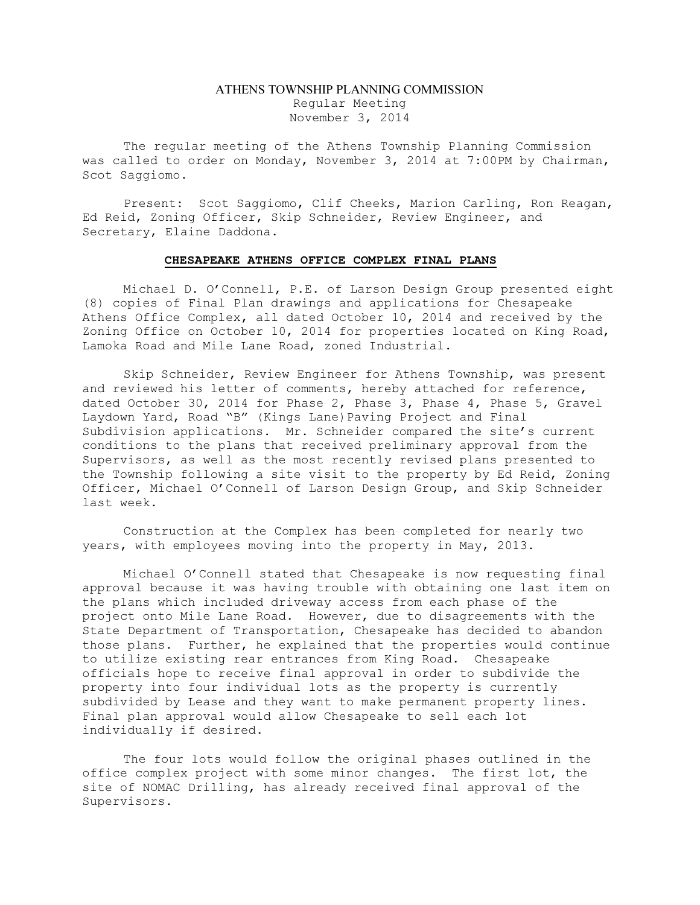# ATHENS TOWNSHIP PLANNING COMMISSION Regular Meeting November 3, 2014

The regular meeting of the Athens Township Planning Commission was called to order on Monday, November 3, 2014 at 7:00PM by Chairman, Scot Saggiomo.

Present: Scot Saggiomo, Clif Cheeks, Marion Carling, Ron Reagan, Ed Reid, Zoning Officer, Skip Schneider, Review Engineer, and Secretary, Elaine Daddona.

## CHESAPEAKE ATHENS OFFICE COMPLEX FINAL PLANS

Michael D. O'Connell, P.E. of Larson Design Group presented eight (8) copies of Final Plan drawings and applications for Chesapeake Athens Office Complex, all dated October 10, 2014 and received by the Zoning Office on October 10, 2014 for properties located on King Road, Lamoka Road and Mile Lane Road, zoned Industrial.

Skip Schneider, Review Engineer for Athens Township, was present and reviewed his letter of comments, hereby attached for reference, dated October 30, 2014 for Phase 2, Phase 3, Phase 4, Phase 5, Gravel Laydown Yard, Road "B" (Kings Lane) Paving Project and Final Subdivision applications. Mr. Schneider compared the site's current conditions to the plans that received preliminary approval from the Supervisors, as well as the most recently revised plans presented to the Township following a site visit to the property by Ed Reid, Zoning Officer, Michael O'Connell of Larson Design Group, and Skip Schneider last week.

Construction at the Complex has been completed for nearly two years, with employees moving into the property in May, 2013.

Michael O'Connell stated that Chesapeake is now requesting final approval because it was having trouble with obtaining one last item on the plans which included driveway access from each phase of the project onto Mile Lane Road. However, due to disagreements with the State Department of Transportation, Chesapeake has decided to abandon those plans. Further, he explained that the properties would continue to utilize existing rear entrances from King Road. Chesapeake officials hope to receive final approval in order to subdivide the property into four individual lots as the property is currently subdivided by Lease and they want to make permanent property lines. Final plan approval would allow Chesapeake to sell each lot individually if desired.

The four lots would follow the original phases outlined in the office complex project with some minor changes. The first lot, the site of NOMAC Drilling, has already received final approval of the Supervisors.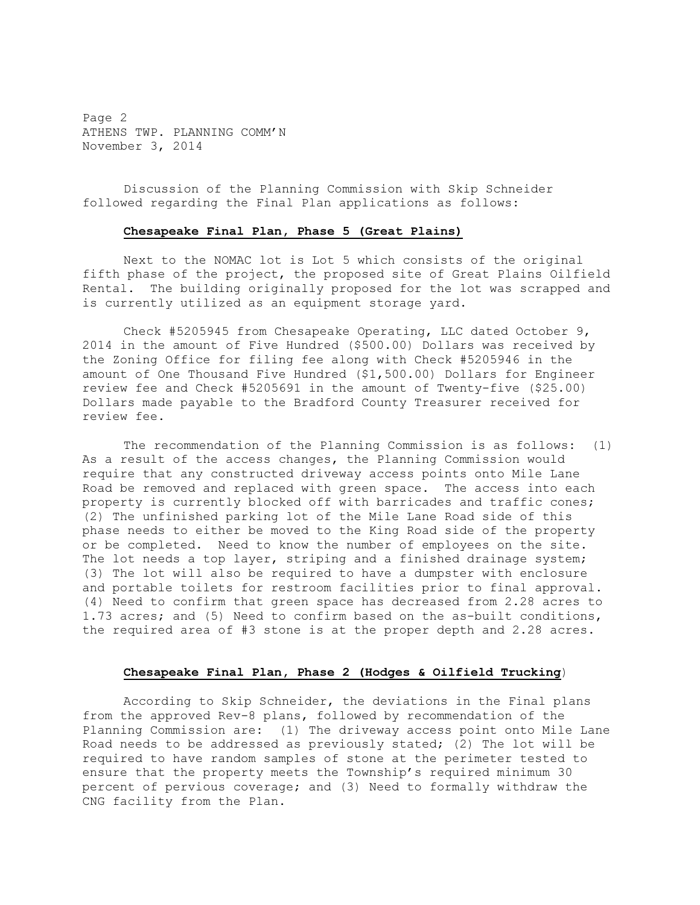Page 2 ATHENS TWP. PLANNING COMM'N November 3, 2014

Discussion of the Planning Commission with Skip Schneider followed regarding the Final Plan applications as follows:

### Chesapeake Final Plan, Phase 5 (Great Plains)

Next to the NOMAC lot is Lot 5 which consists of the original fifth phase of the project, the proposed site of Great Plains Oilfield Rental. The building originally proposed for the lot was scrapped and is currently utilized as an equipment storage yard.

Check #5205945 from Chesapeake Operating, LLC dated October 9, 2014 in the amount of Five Hundred (\$500.00) Dollars was received by the Zoning Office for filing fee along with Check #5205946 in the amount of One Thousand Five Hundred (\$1,500.00) Dollars for Engineer review fee and Check #5205691 in the amount of Twenty-five (\$25.00) Dollars made payable to the Bradford County Treasurer received for review fee.

The recommendation of the Planning Commission is as follows: (1) As a result of the access changes, the Planning Commission would require that any constructed driveway access points onto Mile Lane Road be removed and replaced with green space. The access into each property is currently blocked off with barricades and traffic cones; (2) The unfinished parking lot of the Mile Lane Road side of this phase needs to either be moved to the King Road side of the property or be completed. Need to know the number of employees on the site. The lot needs a top layer, striping and a finished drainage system; (3) The lot will also be required to have a dumpster with enclosure and portable toilets for restroom facilities prior to final approval. (4) Need to confirm that green space has decreased from 2.28 acres to 1.73 acres; and (5) Need to confirm based on the as-built conditions, the required area of #3 stone is at the proper depth and 2.28 acres.

# Chesapeake Final Plan, Phase 2 (Hodges & Oilfield Trucking)

According to Skip Schneider, the deviations in the Final plans from the approved Rev-8 plans, followed by recommendation of the Planning Commission are: (1) The driveway access point onto Mile Lane Road needs to be addressed as previously stated; (2) The lot will be required to have random samples of stone at the perimeter tested to ensure that the property meets the Township's required minimum 30 percent of pervious coverage; and (3) Need to formally withdraw the CNG facility from the Plan.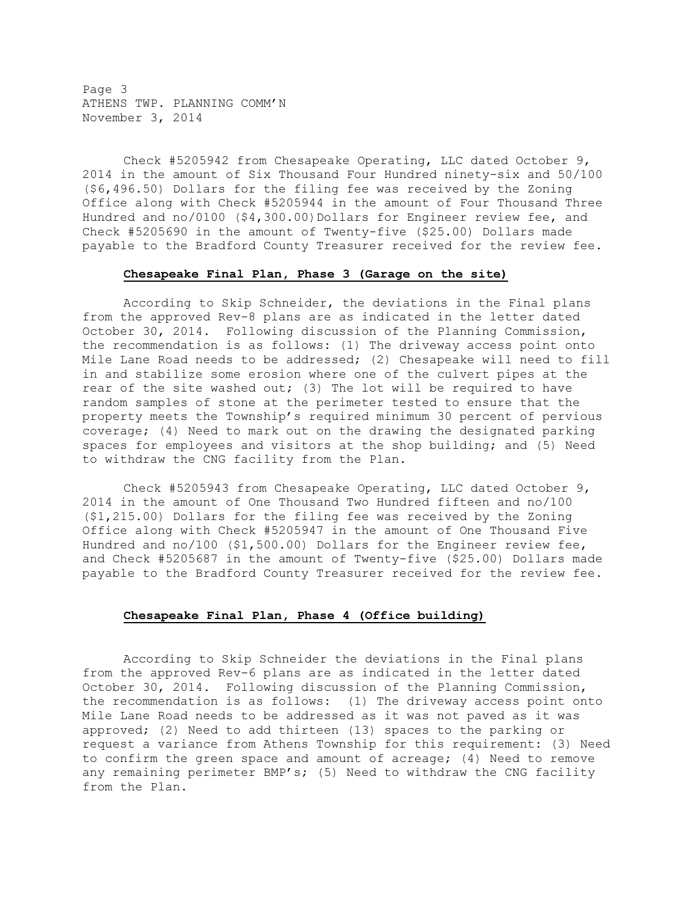Page 3 ATHENS TWP. PLANNING COMM'N November 3, 2014

Check #5205942 from Chesapeake Operating, LLC dated October 9, 2014 in the amount of Six Thousand Four Hundred ninety-six and 50/100 (\$6,496.50) Dollars for the filing fee was received by the Zoning Office along with Check #5205944 in the amount of Four Thousand Three Hundred and no/0100 (\$4,300.00)Dollars for Engineer review fee, and Check #5205690 in the amount of Twenty-five (\$25.00) Dollars made payable to the Bradford County Treasurer received for the review fee.

### Chesapeake Final Plan, Phase 3 (Garage on the site)

According to Skip Schneider, the deviations in the Final plans from the approved Rev-8 plans are as indicated in the letter dated October 30, 2014. Following discussion of the Planning Commission, the recommendation is as follows: (1) The driveway access point onto Mile Lane Road needs to be addressed; (2) Chesapeake will need to fill in and stabilize some erosion where one of the culvert pipes at the rear of the site washed out; (3) The lot will be required to have random samples of stone at the perimeter tested to ensure that the property meets the Township's required minimum 30 percent of pervious coverage; (4) Need to mark out on the drawing the designated parking spaces for employees and visitors at the shop building; and (5) Need to withdraw the CNG facility from the Plan.

Check #5205943 from Chesapeake Operating, LLC dated October 9, 2014 in the amount of One Thousand Two Hundred fifteen and no/100 (\$1,215.00) Dollars for the filing fee was received by the Zoning Office along with Check #5205947 in the amount of One Thousand Five Hundred and no/100 (\$1,500.00) Dollars for the Engineer review fee, and Check #5205687 in the amount of Twenty-five (\$25.00) Dollars made payable to the Bradford County Treasurer received for the review fee.

# Chesapeake Final Plan, Phase 4 (Office building)

According to Skip Schneider the deviations in the Final plans from the approved Rev-6 plans are as indicated in the letter dated October 30, 2014. Following discussion of the Planning Commission, the recommendation is as follows: (1) The driveway access point onto Mile Lane Road needs to be addressed as it was not paved as it was approved; (2) Need to add thirteen (13) spaces to the parking or request a variance from Athens Township for this requirement: (3) Need to confirm the green space and amount of acreage; (4) Need to remove any remaining perimeter BMP's; (5) Need to withdraw the CNG facility from the Plan.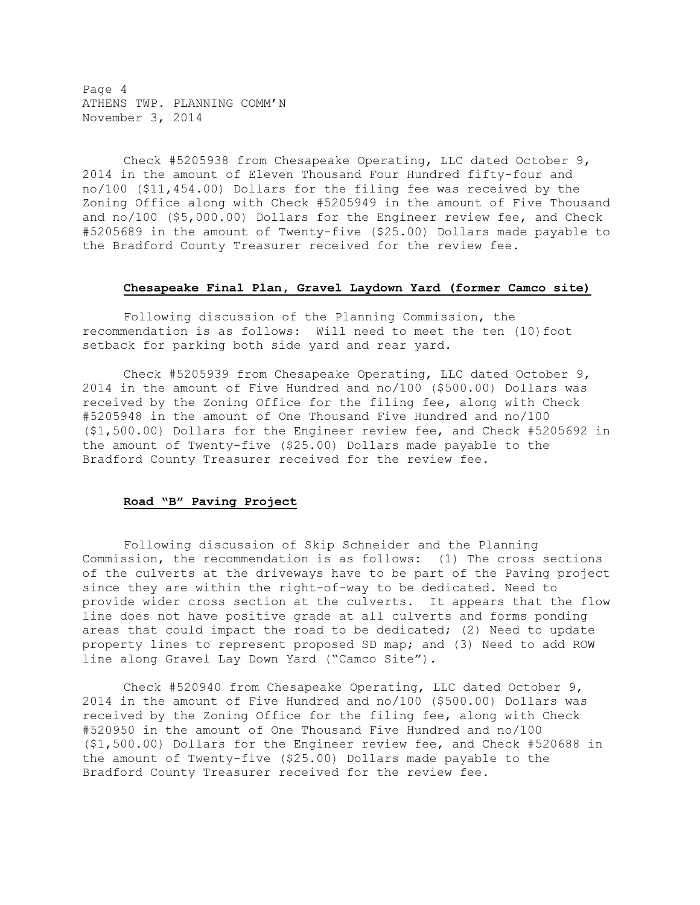Page 4 ATHENS TWP. PLANNING COMM'N November 3, 2014

Check #5205938 from Chesapeake Operating, LLC dated October 9, 2014 in the amount of Eleven Thousand Four Hundred fifty-four and no/100 (\$11,454.00) Dollars for the filing fee was received by the Zoning Office along with Check #5205949 in the amount of Five Thousand and no/100 (\$5,000.00) Dollars for the Engineer review fee, and Check #5205689 in the amount of Twenty-five (\$25.00) Dollars made payable to the Bradford County Treasurer received for the review fee.

### Chesapeake Final Plan, Gravel Laydown Yard (former Camco site)

Following discussion of the Planning Commission, the recommendation is as follows: Will need to meet the ten (10)foot setback for parking both side yard and rear yard.

Check #5205939 from Chesapeake Operating, LLC dated October 9, 2014 in the amount of Five Hundred and no/100 (\$500.00) Dollars was received by the Zoning Office for the filing fee, along with Check #5205948 in the amount of One Thousand Five Hundred and no/100 (\$1,500.00) Dollars for the Engineer review fee, and Check #5205692 in the amount of Twenty-five (\$25.00) Dollars made payable to the Bradford County Treasurer received for the review fee.

# Road "B" Paving Project

Following discussion of Skip Schneider and the Planning Commission, the recommendation is as follows: (1) The cross sections of the culverts at the driveways have to be part of the Paving project since they are within the right-of-way to be dedicated. Need to provide wider cross section at the culverts. It appears that the flow line does not have positive grade at all culverts and forms ponding areas that could impact the road to be dedicated; (2) Need to update property lines to represent proposed SD map; and (3) Need to add ROW line along Gravel Lay Down Yard ("Camco Site").

Check #520940 from Chesapeake Operating, LLC dated October 9, 2014 in the amount of Five Hundred and no/100 (\$500.00) Dollars was received by the Zoning Office for the filing fee, along with Check #520950 in the amount of One Thousand Five Hundred and no/100 (\$1,500.00) Dollars for the Engineer review fee, and Check #520688 in the amount of Twenty-five (\$25.00) Dollars made payable to the Bradford County Treasurer received for the review fee.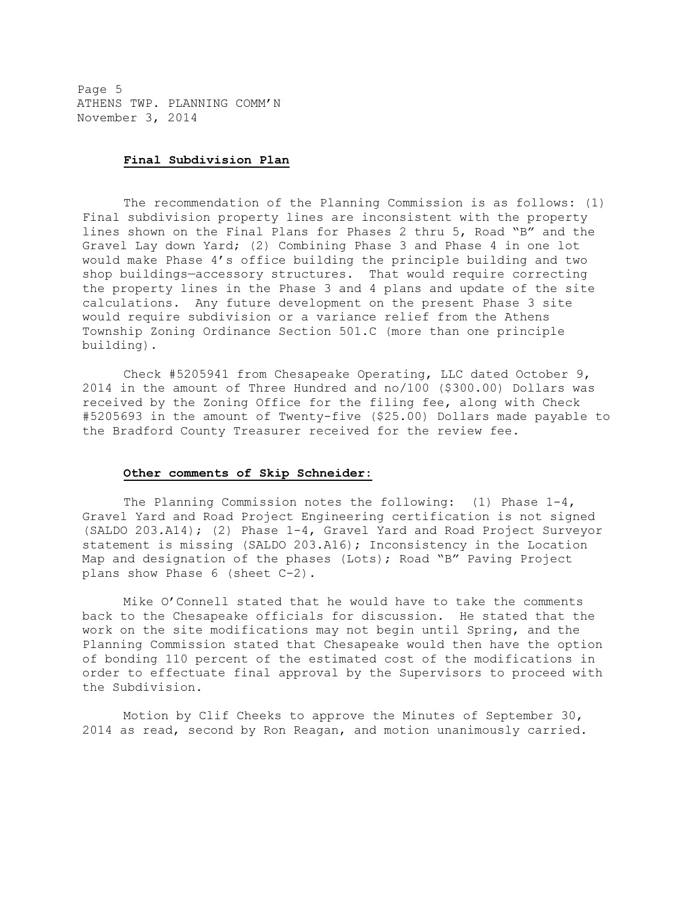Page 5 ATHENS TWP. PLANNING COMM'N November 3, 2014

### Final Subdivision Plan

The recommendation of the Planning Commission is as follows: (1) Final subdivision property lines are inconsistent with the property lines shown on the Final Plans for Phases 2 thru 5, Road "B" and the Gravel Lay down Yard; (2) Combining Phase 3 and Phase 4 in one lot would make Phase 4's office building the principle building and two shop buildings—accessory structures. That would require correcting the property lines in the Phase 3 and 4 plans and update of the site calculations. Any future development on the present Phase 3 site would require subdivision or a variance relief from the Athens Township Zoning Ordinance Section 501.C (more than one principle building).

Check #5205941 from Chesapeake Operating, LLC dated October 9, 2014 in the amount of Three Hundred and no/100 (\$300.00) Dollars was received by the Zoning Office for the filing fee, along with Check #5205693 in the amount of Twenty-five (\$25.00) Dollars made payable to the Bradford County Treasurer received for the review fee.

#### Other comments of Skip Schneider:

The Planning Commission notes the following: (1) Phase  $1-4$ , Gravel Yard and Road Project Engineering certification is not signed (SALDO 203.A14); (2) Phase 1-4, Gravel Yard and Road Project Surveyor statement is missing (SALDO 203.A16); Inconsistency in the Location Map and designation of the phases (Lots); Road "B" Paving Project plans show Phase 6 (sheet C-2).

Mike O'Connell stated that he would have to take the comments back to the Chesapeake officials for discussion. He stated that the work on the site modifications may not begin until Spring, and the Planning Commission stated that Chesapeake would then have the option of bonding 110 percent of the estimated cost of the modifications in order to effectuate final approval by the Supervisors to proceed with the Subdivision.

Motion by Clif Cheeks to approve the Minutes of September 30, 2014 as read, second by Ron Reagan, and motion unanimously carried.